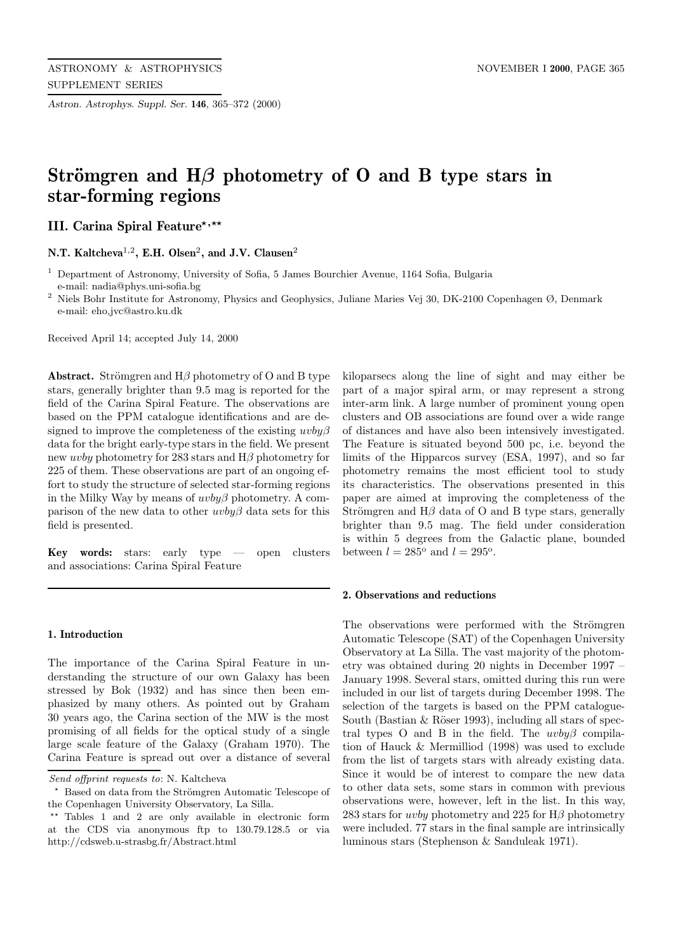*Astron. Astrophys. Suppl. Ser.* **146**, 365–372 (2000)

# Strömgren and  $H\beta$  photometry of O and B type stars in **star-forming regions**

**III. Carina Spiral Feature**\*,\*\*

**N.T. Kaltcheva**<sup>1</sup>,<sup>2</sup>**, E.H. Olsen**<sup>2</sup>**, and J.V. Clausen**<sup>2</sup>

<sup>1</sup> Department of Astronomy, University of Sofia, 5 James Bourchier Avenue, 1164 Sofia, Bulgaria e-mail: nadia@phys.uni-sofia.bg

<sup>2</sup> Niels Bohr Institute for Astronomy, Physics and Geophysics, Juliane Maries Vej 30, DK-2100 Copenhagen Ø, Denmark e-mail: eho,jvc@astro.ku.dk

Received April 14; accepted July 14, 2000

**Abstract.** Strömgren and  $H\beta$  photometry of O and B type stars, generally brighter than 9.5 mag is reported for the field of the Carina Spiral Feature. The observations are based on the PPM catalogue identifications and are designed to improve the completeness of the existing  $uvby\beta$ data for the bright early-type stars in the field. We present new *uvby* photometry for 283 stars and  $H\beta$  photometry for 225 of them. These observations are part of an ongoing effort to study the structure of selected star-forming regions in the Milky Way by means of  $uvby\beta$  photometry. A comparison of the new data to other  $uvby\beta$  data sets for this field is presented.

**Key words:** stars: early type — open clusters and associations: Carina Spiral Feature

## **1. Introduction**

The importance of the Carina Spiral Feature in understanding the structure of our own Galaxy has been stressed by Bok (1932) and has since then been emphasized by many others. As pointed out by Graham 30 years ago, the Carina section of the MW is the most promising of all fields for the optical study of a single large scale feature of the Galaxy (Graham 1970). The Carina Feature is spread out over a distance of several kiloparsecs along the line of sight and may either be part of a major spiral arm, or may represent a strong inter-arm link. A large number of prominent young open clusters and OB associations are found over a wide range of distances and have also been intensively investigated. The Feature is situated beyond 500 pc, i.e. beyond the limits of the Hipparcos survey (ESA, 1997), and so far photometry remains the most efficient tool to study its characteristics. The observations presented in this paper are aimed at improving the completeness of the Strömgren and  $H\beta$  data of O and B type stars, generally brighter than 9.5 mag. The field under consideration is within 5 degrees from the Galactic plane, bounded between  $l = 285^{\circ}$  and  $l = 295^{\circ}$ .

### **2. Observations and reductions**

The observations were performed with the Strömgren Automatic Telescope (SAT) of the Copenhagen University Observatory at La Silla. The vast majority of the photometry was obtained during 20 nights in December 1997 – January 1998. Several stars, omitted during this run were included in our list of targets during December 1998. The selection of the targets is based on the PPM catalogue-South (Bastian  $&$  Röser 1993), including all stars of spectral types O and B in the field. The  $uvby\beta$  compilation of Hauck & Mermilliod (1998) was used to exclude from the list of targets stars with already existing data. Since it would be of interest to compare the new data to other data sets, some stars in common with previous observations were, however, left in the list. In this way, 283 stars for *uvby* photometry and 225 for  $H\beta$  photometry were included. 77 stars in the final sample are intrinsically luminous stars (Stephenson & Sanduleak 1971).

Send offprint requests to: N. Kaltcheva

Based on data from the Strömgren Automatic Telescope of the Copenhagen University Observatory, La Silla.

<sup>\*\*</sup> Tables 1 and 2 are only available in electronic form at the CDS via anonymous ftp to 130.79.128.5 or via http://cdsweb.u-strasbg.fr/Abstract.html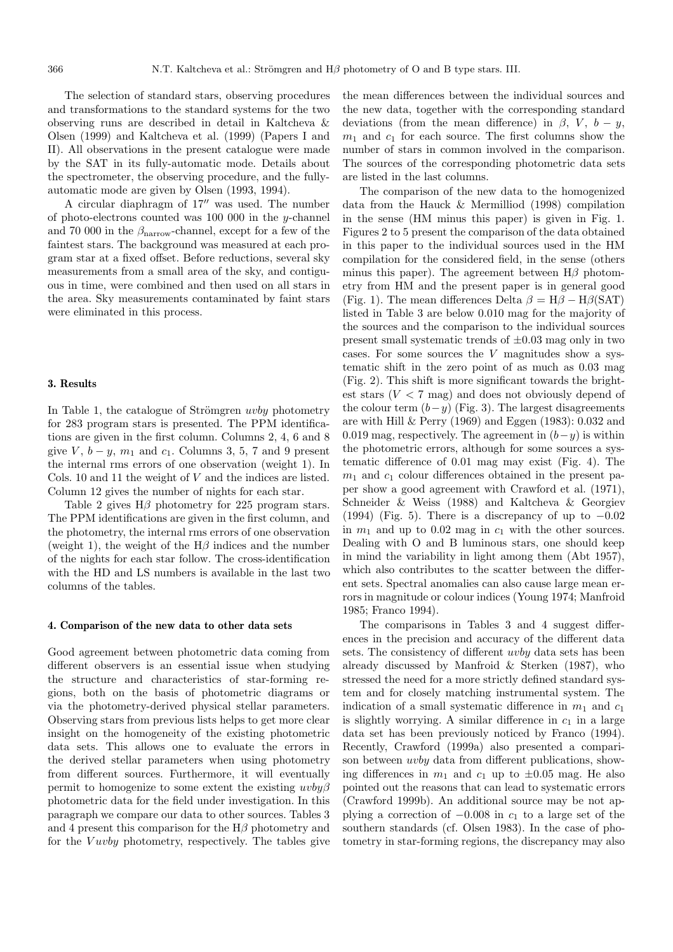The selection of standard stars, observing procedures and transformations to the standard systems for the two observing runs are described in detail in Kaltcheva & Olsen (1999) and Kaltcheva et al. (1999) (Papers I and II). All observations in the present catalogue were made by the SAT in its fully-automatic mode. Details about the spectrometer, the observing procedure, and the fullyautomatic mode are given by Olsen (1993, 1994).

A circular diaphragm of  $17<sup>′</sup>$  was used. The number of photo-electrons counted was 100 000 in the y-channel and 70 000 in the  $\beta_{\text{narrow}}$ -channel, except for a few of the faintest stars. The background was measured at each program star at a fixed offset. Before reductions, several sky measurements from a small area of the sky, and contiguous in time, were combined and then used on all stars in the area. Sky measurements contaminated by faint stars were eliminated in this process.

## **3. Results**

In Table 1, the catalogue of Strömgren *uvby* photometry for 283 program stars is presented. The PPM identifications are given in the first column. Columns 2, 4, 6 and 8 give  $V, b - y, m_1$  and  $c_1$ . Columns 3, 5, 7 and 9 present the internal rms errors of one observation (weight 1). In Cols. 10 and 11 the weight of V and the indices are listed. Column 12 gives the number of nights for each star.

Table 2 gives  $H\beta$  photometry for 225 program stars. The PPM identifications are given in the first column, and the photometry, the internal rms errors of one observation (weight 1), the weight of the  $H\beta$  indices and the number of the nights for each star follow. The cross-identification with the HD and LS numbers is available in the last two columns of the tables.

#### **4. Comparison of the new data to other data sets**

Good agreement between photometric data coming from different observers is an essential issue when studying the structure and characteristics of star-forming regions, both on the basis of photometric diagrams or via the photometry-derived physical stellar parameters. Observing stars from previous lists helps to get more clear insight on the homogeneity of the existing photometric data sets. This allows one to evaluate the errors in the derived stellar parameters when using photometry from different sources. Furthermore, it will eventually permit to homogenize to some extent the existing  $uvb\psi\beta$ photometric data for the field under investigation. In this paragraph we compare our data to other sources. Tables 3 and 4 present this comparison for the  $H\beta$  photometry and for the *Vuvby* photometry, respectively. The tables give the mean differences between the individual sources and the new data, together with the corresponding standard deviations (from the mean difference) in  $\beta$ , V,  $b - y$ ,  $m_1$  and  $c_1$  for each source. The first columns show the number of stars in common involved in the comparison. The sources of the corresponding photometric data sets are listed in the last columns.

The comparison of the new data to the homogenized data from the Hauck & Mermilliod (1998) compilation in the sense (HM minus this paper) is given in Fig. 1. Figures 2 to 5 present the comparison of the data obtained in this paper to the individual sources used in the HM compilation for the considered field, in the sense (others minus this paper). The agreement between  $H\beta$  photometry from HM and the present paper is in general good (Fig. 1). The mean differences Delta  $\beta = H\beta - H\beta(SAT)$ listed in Table 3 are below 0.010 mag for the majority of the sources and the comparison to the individual sources present small systematic trends of  $\pm 0.03$  mag only in two cases. For some sources the  $V$  magnitudes show a systematic shift in the zero point of as much as 0.03 mag (Fig. 2). This shift is more significant towards the brightest stars  $(V < 7$  mag) and does not obviously depend of the colour term  $(b-y)$  (Fig. 3). The largest disagreements are with Hill & Perry (1969) and Eggen (1983): 0.032 and 0.019 mag, respectively. The agreement in  $(b-y)$  is within the photometric errors, although for some sources a systematic difference of 0.01 mag may exist (Fig. 4). The  $m_1$  and  $c_1$  colour differences obtained in the present paper show a good agreement with Crawford et al. (1971), Schneider & Weiss (1988) and Kaltcheva & Georgiev (1994) (Fig. 5). There is a discrepancy of up to  $-0.02$ in  $m_1$  and up to 0.02 mag in  $c_1$  with the other sources. Dealing with O and B luminous stars, one should keep in mind the variability in light among them (Abt 1957), which also contributes to the scatter between the different sets. Spectral anomalies can also cause large mean errors in magnitude or colour indices (Young 1974; Manfroid 1985; Franco 1994).

The comparisons in Tables 3 and 4 suggest differences in the precision and accuracy of the different data sets. The consistency of different uvby data sets has been already discussed by Manfroid & Sterken (1987), who stressed the need for a more strictly defined standard system and for closely matching instrumental system. The indication of a small systematic difference in  $m_1$  and  $c_1$ is slightly worrying. A similar difference in  $c_1$  in a large data set has been previously noticed by Franco (1994). Recently, Crawford (1999a) also presented a comparison between uvby data from different publications, showing differences in  $m_1$  and  $c_1$  up to  $\pm 0.05$  mag. He also pointed out the reasons that can lead to systematic errors (Crawford 1999b). An additional source may be not applying a correction of  $-0.008$  in  $c_1$  to a large set of the southern standards (cf. Olsen 1983). In the case of photometry in star-forming regions, the discrepancy may also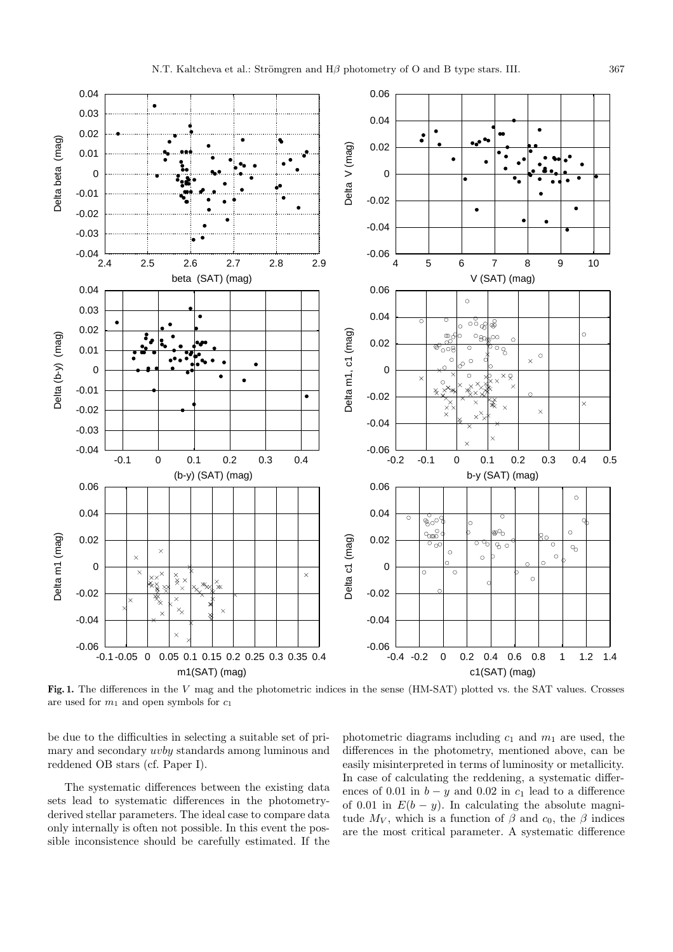

**Fig. 1.** The differences in the V mag and the photometric indices in the sense (HM-SAT) plotted vs. the SAT values. Crosses are used for  $m_1$  and open symbols for  $c_1$ 

be due to the difficulties in selecting a suitable set of primary and secondary uvby standards among luminous and reddened OB stars (cf. Paper I).

The systematic differences between the existing data sets lead to systematic differences in the photometryderived stellar parameters. The ideal case to compare data only internally is often not possible. In this event the possible inconsistence should be carefully estimated. If the

photometric diagrams including  $c_1$  and  $m_1$  are used, the differences in the photometry, mentioned above, can be easily misinterpreted in terms of luminosity or metallicity. In case of calculating the reddening, a systematic differences of 0.01 in  $b - y$  and 0.02 in  $c_1$  lead to a difference of 0.01 in  $E(b - y)$ . In calculating the absolute magnitude  $M_V$ , which is a function of  $\beta$  and  $c_0$ , the  $\beta$  indices are the most critical parameter. A systematic difference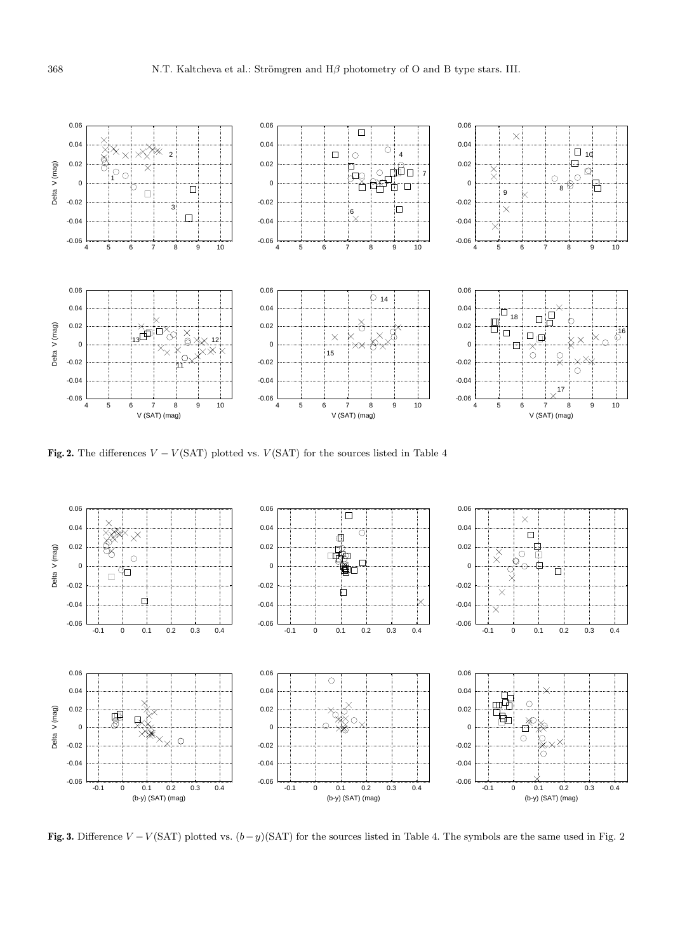

**Fig. 2.** The differences  $V - V(SAT)$  plotted vs.  $V(SAT)$  for the sources listed in Table 4



**Fig. 3.** Difference  $V - V(SAT)$  plotted vs.  $(b - y)(SAT)$  for the sources listed in Table 4. The symbols are the same used in Fig. 2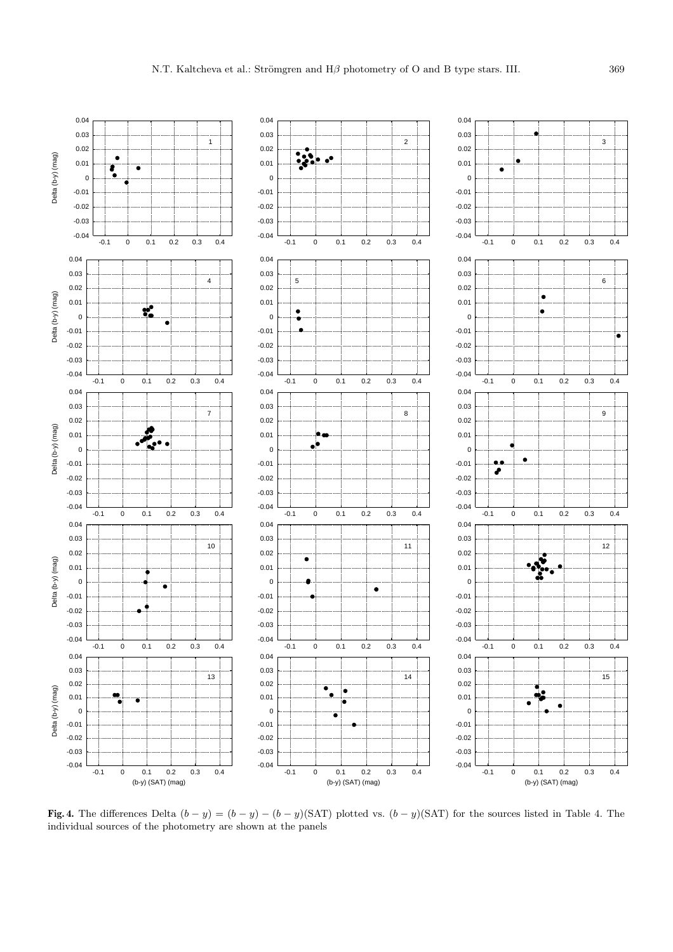

**Fig. 4.** The differences Delta  $(b - y) = (b - y) - (b - y)(SAT)$  plotted vs.  $(b - y)(SAT)$  for the sources listed in Table 4. The individual sources of the photometry are shown at the panels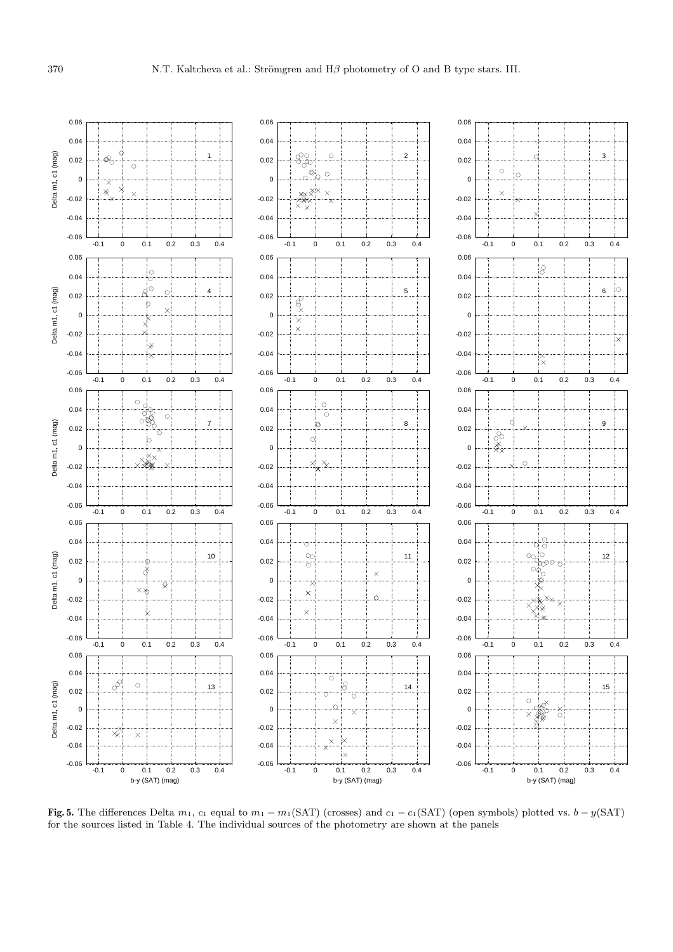

**Fig. 5.** The differences Delta  $m_1$ ,  $c_1$  equal to  $m_1 - m_1(SAT)$  (crosses) and  $c_1 - c_1(SAT)$  (open symbols) plotted vs.  $b - y(SAT)$ for the sources listed in Table 4. The individual sources of the photometry are shown at the panels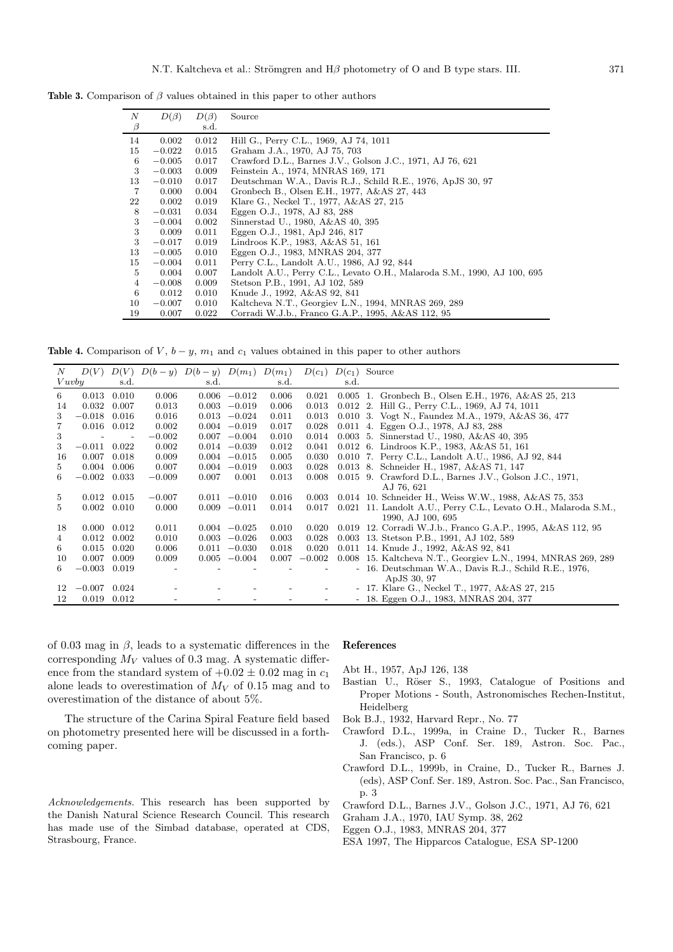**Table 3.** Comparison of  $\beta$  values obtained in this paper to other authors

| N              | $D(\beta)$ | $D(\beta)$ | Source                                                                  |
|----------------|------------|------------|-------------------------------------------------------------------------|
| $\beta$        |            | s.d.       |                                                                         |
| 14             | 0.002      | 0.012      | Hill G., Perry C.L., 1969, AJ 74, 1011                                  |
| 15             | $-0.022$   | 0.015      | Graham J.A., 1970, AJ 75, 703                                           |
| 6              | $-0.005$   | 0.017      | Crawford D.L., Barnes J.V., Golson J.C., 1971, AJ 76, 621               |
| 3              | $-0.003$   | 0.009      | Feinstein A., 1974, MNRAS 169, 171                                      |
| 13             | $-0.010$   | 0.017      | Deutschman W.A., Davis R.J., Schild R.E., 1976, ApJS 30, 97             |
| 7              | 0.000      | 0.004      | Gronbech B., Olsen E.H., 1977, A&AS 27, 443                             |
| 22             | 0.002      | 0.019      | Klare G., Neckel T., 1977, A&AS 27, 215                                 |
| 8              | $-0.031$   | 0.034      | Eggen O.J., 1978, AJ 83, 288                                            |
| 3              | $-0.004$   | 0.002      | Sinnerstad U., 1980, A&AS 40, 395                                       |
| 3              | 0.009      | 0.011      | Eggen O.J., 1981, ApJ 246, 817                                          |
| 3              | $-0.017$   | 0.019      | Lindroos K.P., 1983, A&AS 51, 161                                       |
| 13             | $-0.005$   | 0.010      | Eggen O.J., 1983, MNRAS 204, 377                                        |
| 15             | $-0.004$   | 0.011      | Perry C.L., Landolt A.U., 1986, AJ 92, 844                              |
| 5              | 0.004      | 0.007      | Landolt A.U., Perry C.L., Levato O.H., Malaroda S.M., 1990, AJ 100, 695 |
| $\overline{4}$ | $-0.008$   | 0.009      | Stetson P.B., 1991, AJ 102, 589                                         |
| 6              | 0.012      | 0.010      | Knude J., 1992, A&AS 92, 841                                            |
| 10             | $-0.007$   | 0.010      | Kaltcheva N.T., Georgiev L.N., 1994, MNRAS 269, 289                     |
| 19             | 0.007      | 0.022      | Corradi W.J.b., Franco G.A.P., 1995, A&AS 112, 95                       |

**Table 4.** Comparison of V,  $b - y$ ,  $m_1$  and  $c_1$  values obtained in this paper to other authors

| N     | D(V)     | D(V)  |          | $D(b - y)$ $D(b - y)$ $D(m_1)$ $D(m_1)$ |                 |       | $D(c_1)$ |      | $D(c_1)$ Source                                                 |
|-------|----------|-------|----------|-----------------------------------------|-----------------|-------|----------|------|-----------------------------------------------------------------|
| Vuvby |          | s.d.  |          | s.d.                                    |                 | s.d.  |          | s.d. |                                                                 |
| 6     | 0.013    | 0.010 | 0.006    |                                         | $0.006 - 0.012$ | 0.006 | 0.021    |      | 0.005 1. Gronbech B., Olsen E.H., 1976, A&AS 25, 213            |
| 14    | 0.032    | 0.007 | 0.013    |                                         | $0.003 -0.019$  | 0.006 | 0.013    |      | 0.012 2. Hill G., Perry C.L., 1969, AJ 74, 1011                 |
| 3     | $-0.018$ | 0.016 | 0.016    |                                         | $0.013 - 0.024$ | 0.011 | 0.013    |      | 0.010 3. Vogt N., Faundez M.A., 1979, A&AS 36, 477              |
|       | 0.016    | 0.012 | 0.002    |                                         | $0.004 - 0.019$ | 0.017 | 0.028    |      | 0.011 4. Eggen O.J., 1978, AJ 83, 288                           |
| 3     |          |       | $-0.002$ |                                         | $0.007 - 0.004$ | 0.010 | 0.014    |      | $0.003$ 5. Sinnerstad U., 1980, A&AS 40, 395                    |
| 3     | $-0.011$ | 0.022 | 0.002    |                                         | $0.014 - 0.039$ | 0.012 | 0.041    |      | 0.012 6. Lindroos K.P., 1983, A&AS 51, 161                      |
| 16    | 0.007    | 0.018 | 0.009    |                                         | $0.004 - 0.015$ | 0.005 | 0.030    |      | 0.010 7. Perry C.L., Landolt A.U., 1986, AJ 92, 844             |
| 5.    | 0.004    | 0.006 | 0.007    |                                         | $0.004 - 0.019$ | 0.003 | 0.028    |      | 0.013 8. Schneider H., 1987, A&AS 71, 147                       |
| 6     | $-0.002$ | 0.033 | $-0.009$ | 0.007                                   | 0.001           | 0.013 | 0.008    |      | 0.015 9. Crawford D.L., Barnes J.V., Golson J.C., 1971,         |
|       |          |       |          |                                         |                 |       |          |      | AJ 76, 621                                                      |
| 5     | 0.012    | 0.015 | $-0.007$ |                                         | $0.011 - 0.010$ | 0.016 | 0.003    |      | 0.014 10. Schneider H., Weiss W.W., 1988, A&AS 75, 353          |
| 5.    | 0.002    | 0.010 | 0.000    |                                         | $0.009 - 0.011$ | 0.014 | 0.017    |      | 0.021 11. Landolt A.U., Perry C.L., Levato O.H., Malaroda S.M., |
|       |          |       |          |                                         |                 |       |          |      | 1990, AJ 100, 695                                               |
| 18    | 0.000    | 0.012 | 0.011    |                                         | $0.004 - 0.025$ | 0.010 | 0.020    |      | 0.019 12. Corradi W.J.b., Franco G.A.P., 1995, A&AS 112, 95     |
| 4     | 0.012    | 0.002 | 0.010    |                                         | $0.003 -0.026$  | 0.003 | 0.028    |      | 0.003 13. Stetson P.B., 1991, AJ 102, 589                       |
| 6     | 0.015    | 0.020 | 0.006    | 0.011                                   | $-0.030$        | 0.018 | 0.020    |      | 0.011 14. Knude J., 1992, A&AS 92, 841                          |
| 10    | 0.007    | 0.009 | 0.009    |                                         | $0.005 -0.004$  | 0.007 | $-0.002$ |      | 0.008 15. Kaltcheva N.T., Georgiev L.N., 1994, MNRAS 269, 289   |
| 6.    | $-0.003$ | 0.019 |          |                                         |                 |       |          |      | - 16. Deutschman W.A., Davis R.J., Schild R.E., 1976,           |
|       |          |       |          |                                         |                 |       |          |      | ApJS 30, 97                                                     |
| 12    | $-0.007$ | 0.024 |          |                                         |                 |       |          |      | - 17. Klare G., Neckel T., 1977, A&AS 27, 215                   |
| 12    | 0.019    | 0.012 |          |                                         |                 |       |          |      | - 18. Eggen O.J., 1983, MNRAS 204, 377                          |
|       |          |       |          |                                         |                 |       |          |      |                                                                 |

of 0.03 mag in  $\beta$ , leads to a systematic differences in the corresponding  $M_V$  values of 0.3 mag. A systematic difference from the standard system of  $+0.02 \pm 0.02$  mag in  $c_1$ alone leads to overestimation of  $M_V$  of 0.15 mag and to overestimation of the distance of about 5%.

The structure of the Carina Spiral Feature field based on photometry presented here will be discussed in a forthcoming paper.

Acknowledgements. This research has been supported by the Danish Natural Science Research Council. This research has made use of the Simbad database, operated at CDS, Strasbourg, France.

#### **References**

Abt H., 1957, ApJ 126, 138

- Bastian U., Röser S., 1993, Catalogue of Positions and Proper Motions - South, Astronomisches Rechen-Institut, Heidelberg
- Bok B.J., 1932, Harvard Repr., No. 77
- Crawford D.L., 1999a, in Craine D., Tucker R., Barnes J. (eds.), ASP Conf. Ser. 189, Astron. Soc. Pac., San Francisco, p. 6
- Crawford D.L., 1999b, in Craine, D., Tucker R., Barnes J. (eds), ASP Conf. Ser. 189, Astron. Soc. Pac., San Francisco, p. 3
- Crawford D.L., Barnes J.V., Golson J.C., 1971, AJ 76, 621
- Graham J.A., 1970, IAU Symp. 38, 262
- Eggen O.J., 1983, MNRAS 204, 377
- ESA 1997, The Hipparcos Catalogue, ESA SP-1200